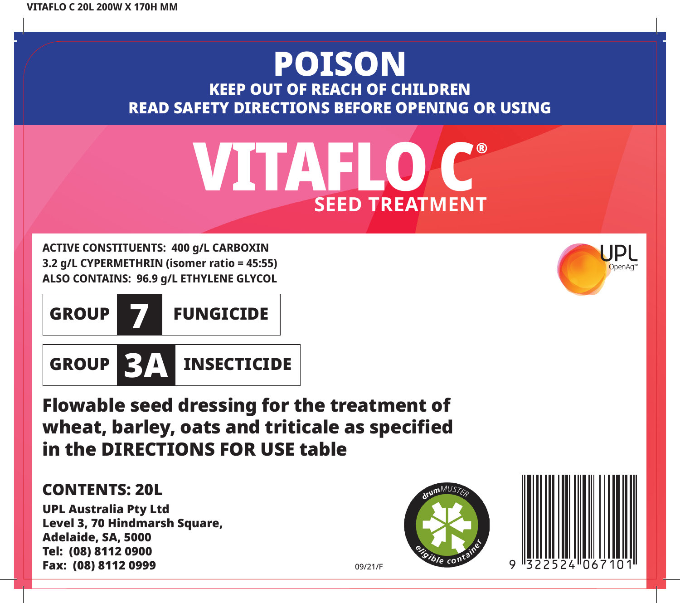## POISON KEEP OUT OF REACH OF CHILDREN READ SAFETY DIRECTIONS BEFORE OPENING OR USING



**ACTIVE CONSTITUENTS: 400 g/L CARBOXIN 3.2 g/L CYPERMETHRIN (isomer ratio = 45:55) ALSO CONTAINS: 96.9 g/L ETHYLENE GLYCOL**



Flowable seed dressing for the treatment of wheat, barley, oats and triticale as specified in the DIRECTIONS FOR USE table

### CONTENTS: 20L

UPL Australia Pty Ltd Level 3, 70 Hindmarsh Square, Adelaide, SA, 5000 Tel: (08) 8112 0900 Fax: (08) 8112 0999





09/21/F